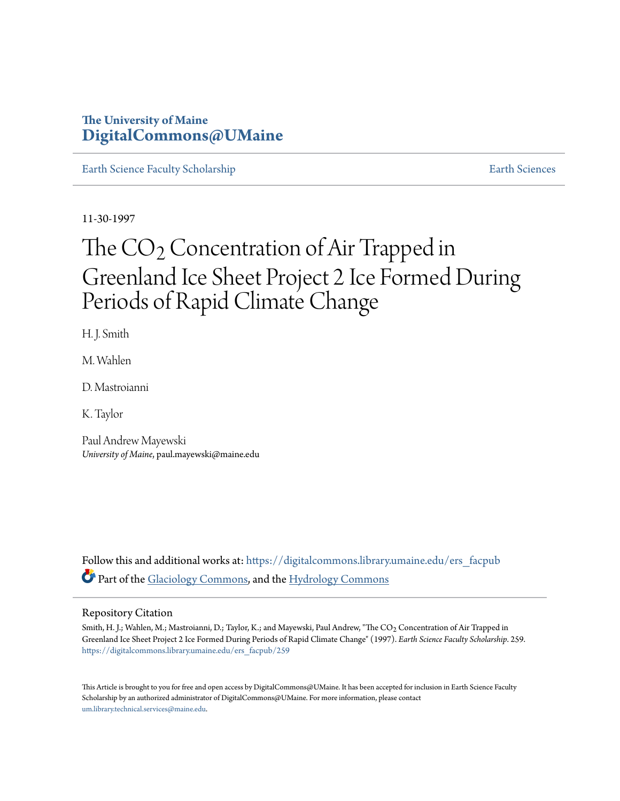## **The University of Maine [DigitalCommons@UMaine](https://digitalcommons.library.umaine.edu?utm_source=digitalcommons.library.umaine.edu%2Fers_facpub%2F259&utm_medium=PDF&utm_campaign=PDFCoverPages)**

[Earth Science Faculty Scholarship](https://digitalcommons.library.umaine.edu/ers_facpub?utm_source=digitalcommons.library.umaine.edu%2Fers_facpub%2F259&utm_medium=PDF&utm_campaign=PDFCoverPages) **[Earth Sciences](https://digitalcommons.library.umaine.edu/ers?utm_source=digitalcommons.library.umaine.edu%2Fers_facpub%2F259&utm_medium=PDF&utm_campaign=PDFCoverPages)** 

11-30-1997

# The  $CO<sub>2</sub>$  Concentration of Air Trapped in Greenland Ice Sheet Project 2 Ice Formed During Periods of Rapid Climate Change

H. J. Smith

M. Wahlen

D. Mastroianni

K. Taylor

Paul Andrew Mayewski *University of Maine*, paul.mayewski@maine.edu

Follow this and additional works at: [https://digitalcommons.library.umaine.edu/ers\\_facpub](https://digitalcommons.library.umaine.edu/ers_facpub?utm_source=digitalcommons.library.umaine.edu%2Fers_facpub%2F259&utm_medium=PDF&utm_campaign=PDFCoverPages) Part of the [Glaciology Commons,](http://network.bepress.com/hgg/discipline/159?utm_source=digitalcommons.library.umaine.edu%2Fers_facpub%2F259&utm_medium=PDF&utm_campaign=PDFCoverPages) and the [Hydrology Commons](http://network.bepress.com/hgg/discipline/1054?utm_source=digitalcommons.library.umaine.edu%2Fers_facpub%2F259&utm_medium=PDF&utm_campaign=PDFCoverPages)

#### Repository Citation

Smith, H. J.; Wahlen, M.; Mastroianni, D.; Taylor, K.; and Mayewski, Paul Andrew, "The CO2 Concentration of Air Trapped in Greenland Ice Sheet Project 2 Ice Formed During Periods of Rapid Climate Change" (1997). *Earth Science Faculty Scholarship*. 259. [https://digitalcommons.library.umaine.edu/ers\\_facpub/259](https://digitalcommons.library.umaine.edu/ers_facpub/259?utm_source=digitalcommons.library.umaine.edu%2Fers_facpub%2F259&utm_medium=PDF&utm_campaign=PDFCoverPages)

This Article is brought to you for free and open access by DigitalCommons@UMaine. It has been accepted for inclusion in Earth Science Faculty Scholarship by an authorized administrator of DigitalCommons@UMaine. For more information, please contact [um.library.technical.services@maine.edu](mailto:um.library.technical.services@maine.edu).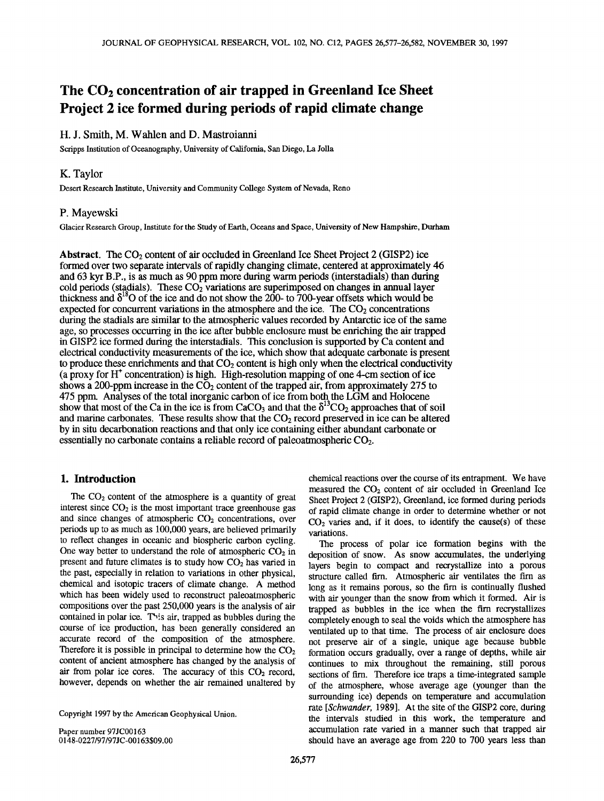## The CO<sub>2</sub> concentration of air trapped in Greenland Ice Sheet **Project 2 ice formed during periods of rapid climate change**

### **H. J. Smith, M. Wahlen and D. Mastroianni**

**Scripps Institution of Oceanography, University of California, San Diego, La Jolla** 

#### **K. Taylor**

**Desert Research Institute, University and Community College System of Nevada, Reno** 

#### **P. Mayewski**

**Glacier Research Group, Institute for the Study of Earth, Oceans and Space, University of New Hampshire, Durham** 

**Abstract.** The CO<sub>2</sub> content of air occluded in Greenland Ice Sheet Project 2 (GISP2) ice **formed over two separate intervals of rapidly changing climate, centered at approximately 46 and 63 kyr B.P., is as much as 90 ppm more during warm periods (interstadials) than during**  cold periods (stadials). These CO<sub>2</sub> variations are superimposed on changes in annual layer thickness and  $\delta^{18}$ O of the ice and do not show the 200- to 700-year offsets which would be expected for concurrent variations in the atmosphere and the ice. The  $CO<sub>2</sub>$  concentrations **during the stadials are similar to the atmospheric values recorded by Antarctic ice of the same age, so processes occumng in the ice after bubble enclosure must be enriching the air trapped in GISP2 ice formed during the interstadials. This conclusion is supported by Ca content and electrical conductivity measurements of the ice, which show that adequate carbonate is present**  to produce these enrichments and that CO<sub>2</sub> content is high only when the electrical conductivity **(a proxy for H + concentration) is high. High-resolution mapping of one 4-cm section of ice**  shows a 200-ppm increase in the  $\overline{CO}_2$  content of the trapped air, from approximately 275 to 475 ppm. Analyses of the total inorganic carbon of ice from both the LGM and Holocene show that most of the Ca in the ice is from CaCO<sub>3</sub> and that the  $\delta^{13}CO_2$  approaches that of soil and marine carbonates. These results show that the CO<sub>2</sub> record preserved in ice can be altered **by in situ decarbonation reactions and that only ice containing either abundant carbonate or**  essentially no carbonate contains a reliable record of paleoatmospheric CO<sub>2</sub>.

#### **1. Introduction**

The CO<sub>2</sub> content of the atmosphere is a quantity of great interest since  $CO<sub>2</sub>$  is the most important trace greenhouse gas and since changes of atmospheric CO<sub>2</sub> concentrations, over **periods up to as much as 100,000 years, are believed primarily to reflect changes in oceanic and biospheric carbon cycling.**  One way better to understand the role of atmospheric CO<sub>2</sub> in present and future climates is to study how CO<sub>2</sub> has varied in **the past, especially in relation to variations in other physical, chemical and isotopic tracers of climate change. A method which has been widely used to reconstruct paleoatmospheric compositions over the past 250,000 years is the analysis of air contained in polar ice. Th!.s air, trapped as bubbles during the course of ice production, has been generally considered an accurate record of the composition of the atmosphere.**  Therefore it is possible in principal to determine how the CO<sub>2</sub> **content of ancient atmosphere has changed by the analysis of**  air from polar ice cores. The accuracy of this  $CO<sub>2</sub>$  record, **however, depends on whether the air remained unaltered by** 

**Copyright 1997 by the American Geophysical Union.** 

**Paper number 97JC00163 0148-0227/97/97JC-00163509.00**  **chemical reactions over the course of its entrapment. We have**  measured the CO<sub>2</sub> content of air occluded in Greenland Ice **Sheet Project 2 (GISP2), Greenland, ice formed during periods of rapid climate change in order to determine whether or not CO2 varies and, if it does, to identify the cause(s) of these variations.** 

**The process of polar ice formation begins with the deposition of snow. As snow accumulates, the underlying layers begin to compact and recrystallize into a porous structure called firn. Atmospheric air ventilates the firn as long as it remains porous, so the firn is continually flushed with air younger than the snow from which it formed. Air is trapped as bubbles in the ice when the firn recrystallizes completely enough to seal the voids which the atmosphere has ventilated up to that time. The process of air enclosure does not preserve air of a single, unique age because bubble formation occurs gradually, over a range of depths, while air continues to mix throughout the remaining, still porous sections of tim. Therefore ice traps a time-integrated sample of the atmosphere, whose average age (younger than the surrounding ice) depends on temperature and accumulation rate [Schwander, 1989]. At the site of the GISP2 core, during the intervals studied in this work, the temperature and accumulation rate varied in a manner such that trapped air should have an average age from 220 to 700 years less than**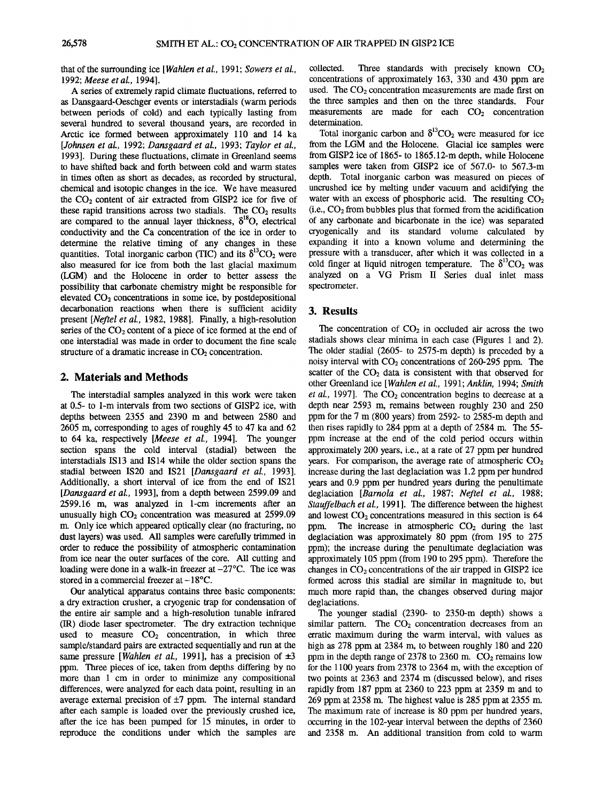**that of the surrounding ice [Wahlen et al., 1991; Sowers et al., 1992; Meese et al., 1994].** 

**A series of extremely rapid climate fluctuations, referred to as Dansgaard-Oeschger events or intersradials (warm periods between periods of cold) and each typically lasting from several hundred to several thousand years, are recorded in Arctic ice formed between approximately 110 and 14 ka [Johnsen et al., 1992; Dansgaard et al., 1993; Taylor et al., 1993]. During these fluctuations, climate in Greenland seems to have shifted back and forth between cold and warm states in times often as short as decades, as recorded by structural, chemical and isotopic changes in the ice. We have measured**  the CO<sub>2</sub> content of air extracted from GISP2 ice for five of these rapid transitions across two stadials. The  $CO<sub>2</sub>$  results are compared to the annual layer thickness,  $\delta^{18}O$ , electrical **conductivity and the Ca concentration of the ice in order to determine the relative timing of any changes in these**  quantities. Total inorganic carbon (TIC) and its  $\delta^{13}CO_2$  were **also measured for ice from both the last glacial maximum (LGM) and the Holocene in order to better assess the possibility that carbonate chemistry might be responsible for**  elevated CO<sub>2</sub> concentrations in some ice, by postdepositional **decarbonation reactions when there is sufficient acidity present [Neftel et al., 1982, 1988]. Finally, a high-resolution**  series of the CO<sub>2</sub> content of a piece of ice formed at the end of **one intersradial was made in order to document the fine scale**  structure of a dramatic increase in CO<sub>2</sub> concentration.

#### **2. Materials and Methods**

**The intersradial samples analyzed in this work were taken at 0.5- to 1-m intervals from two sections of GISP2 ice, with depths between 2355 and 2390 m and between 2580 and 2605 m, corresponding to ages of roughly 45 to 47 ka and 62 to 64 ka, respectively [Meese et al., 1994]. The younger section spans the cold interval (stadial) between the intersradials IS13 and IS14 while the older section spans the stadial between IS20 and IS21 [Dansgaard et al., 1993]. Additionally, a short interval of ice from the end of IS21 [Dansgaard et al., 1993], from a depth between 2599.09 and 2599.16 m, was analyzed in 1-cm increments after an**  unusually high  $CO<sub>2</sub>$  concentration was measured at 2599.09 **rn. Only ice which appeared optically clear (no fracturing, no dust layers) was used. All samples were carefully trimmed in order to reduce the possibility of atmospheric contamination from ice near the outer surfaces of the core. All cutting and loading were done in a walk-in freezer at-27øC. The ice was**  stored in a commercial freezer at  $-18^{\circ}$ C.

**Our analytical apparatus contains three basic components: a dry extraction crusher, a cryogenic trap for condensation of the entire air sample and a high-resolution tunable infrared OR) diode laser spectrometer. The dry extraction technique**  used to measure  $CO<sub>2</sub>$  concentration, in which three **sample/standard pairs are extracted sequentially and run at the**  same pressure [Wahlen et al., 1991], has a precision of  $\pm 3$ **ppm. Three pieces of ice, taken from depths differing by no more than 1 cm in order to minimize any compositional differences, were analyzed for each data point, resulting in an**  average external precision of  $\pm 7$  ppm. The internal standard **after each sample is loaded over the previously crushed ice, after the ice has been pumped for 15 minutes, in order to reproduce the conditions under which the samples are** 

collected. Three standards with precisely known CO<sub>2</sub> **concentrations of approximately 163, 330 and 430 ppm are**  used. The CO<sub>2</sub> concentration measurements are made first on **the three samples and then on the three standards. Four**  measurements are made for each CO<sub>2</sub> concentration **determination.** 

Total inorganic carbon and  $\delta^{13}CO_2$  were measured for ice **from the LGM and the Holocene. Glacial ice samples were from GISP2 ice of 1865- to 1865.12-m depth, while Holocene samples were taken from GISP2 ice of 567.0- to 567.3-m depth. Total inorganic carbon was measured on pieces of uncrushed ice by melting under vacuum and acidifying the**  water with an excess of phosphoric acid. The resulting  $CO<sub>2</sub>$ **(i.e., CO2 from bubbles plus that formed from the acidification of any carbonate and bicarbonate in the ice) was separated cryogenically and its standard volume calculated by expanding it into a known volume and determining the pressure with a transducer, after which it was collected in a**  cold finger at liquid nitrogen temperature. The  $\delta^{13}CO_2$  was **analyzed on a VG Prism II Series dual inlet mass spectrometer.** 

#### **3. Results**

The concentration of  $CO<sub>2</sub>$  in occluded air across the two **stadials shows clear minima in each case (Figures 1 and 2). The older stadial (2605- to 2575-m depth) is preceded by a**  noisy interval with  $CO<sub>2</sub>$  concentrations of 260-295 ppm. The scatter of the CO<sub>2</sub> data is consistent with that observed for **other Greenland ice [Wahlen et al., 1991; Anklin, 1994; Smith**  et al., 1997]. The CO<sub>2</sub> concentration begins to decrease at a **depth near 2593 m, remains between roughly 230 and 250 ppm for the 7 m (800 years) from 2592- to 2585-m depth and then rises rapidly to 284 ppm at a depth of 2584 m. The 55 ppm increase at the end of the cold period occurs within approximately 200 years, i.e., at a rate of 27 ppm per hundred**  years. For comparison, the average rate of atmospheric CO<sub>2</sub> **increase during the last deglaciation was 1.2 ppm per hundred years and 0.9 ppm per hundred years during the penultimate deglaciation [Barnola et al., 1987; Neftel et al., 1988; Stauffelbach et al., 1991]. The difference between the highest**  and lowest  $CO<sub>2</sub>$  concentrations measured in this section is 64 ppm. The increase in atmospheric CO<sub>2</sub> during the last **deglaciation was approximately 80 ppm (from 195 to 275 ppm); the increase during the penultimate deglaciation was approximately 105 ppm (from 190 to 295 ppm). Therefore the**  changes in CO<sub>2</sub> concentrations of the air trapped in GISP2 ice **formed across this stadial are similar in magnitude to, but much more rapid than, the changes observed during major deglaciations.** 

**The younger stadial (2390- to 2350-m depth) shows a**  similar pattern. The CO<sub>2</sub> concentration decreases from an **erratic maximum during the warm interval, with values as high as 278 ppm at 2384 m, to between roughly 180 and 220 ppm in the depth range of 2378 to 2360 m. CO2 remains low for the 1100 years from 2378 to 2364 m, with the exception of two points at 2363 and 2374 m (discussed below), and rises**  rapidly from 187 ppm at 2360 to 223 ppm at 2359 m and to **269 ppm at 2358 m. The highest value is 285 ppm at 2355 m. The maximum rate of increase is 80 ppm per hundred years, occurring in the 102-year interval between the depths of 2360 and 2358 m. An additional transition from cold to warm**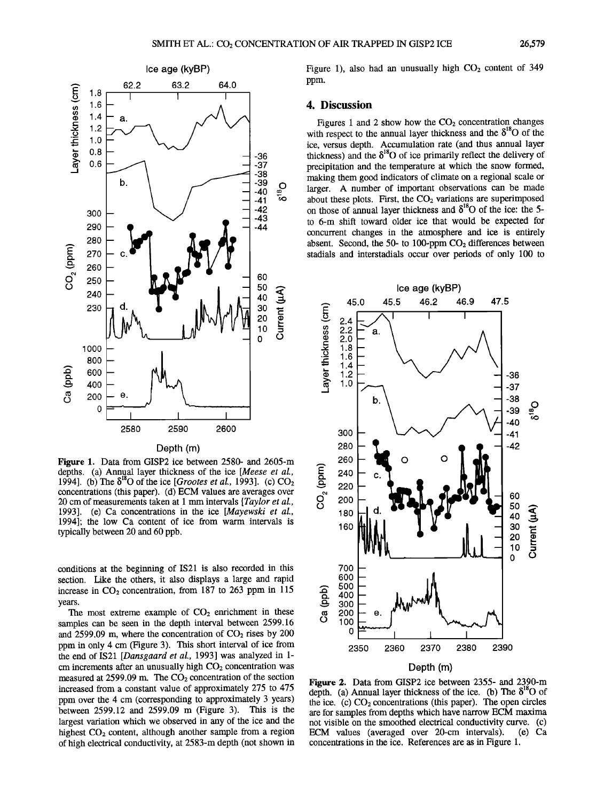

#### **Depth (m)**

**Figure l. Data from GISP2 ice between 2580- and 2605-m depths. (a) Annual layer thickness of the ice [Meese et al., 1994].** (b) The  $\delta^{18}$ O of the ice [*Grootes et al.*, 1993]. (c) CO<sub>2</sub> **concentrations (this paper). (d) ECM values are averages over 20 cm of measurements taken at 1 mm intervals [Taylor et al., 1993]. (e) Ca concentrations in the ice [Mayewski et al., 1994]; the low Ca content of ice from warm intervals is typically between 20 and 60 ppb.** 

**conditions at the beginning of IS21 is also recorded in this section. Like the others, it also displays a large and rapid**  increase in  $CO<sub>2</sub>$  concentration, from 187 to 263 ppm in 115 **years.** 

The most extreme example of  $CO<sub>2</sub>$  enrichment in these **samples can be seen in the depth interval between 2599.16**  and  $2599.09$  m, where the concentration of  $CO<sub>2</sub>$  rises by  $200$ **ppm in only 4 cm (Figure 3). This short interval of ice from the end of IS21 [Dansgaard et al., 1993] was analyzed in 1**  cm increments after an unusually high CO<sub>2</sub> concentration was measured at 2599.09 m. The CO<sub>2</sub> concentration of the section **increased from a constant value of approximately 275 to 475 ppm over the 4 cm (corresponding to approximately 3 years) between 2599.12 and 2599.09 m (Figure 3). This is the largest variation which we observed in any of the ice and the**  highest CO<sub>2</sub> content, although another sample from a region **of high electrical conductivity, at 2583-m depth (not shown in**  Figure 1), also had an unusually high CO<sub>2</sub> content of 349 **ppm.** 

#### **4. Discussion**

Figures 1 and 2 show how the  $CO<sub>2</sub>$  concentration changes with respect to the annual layer thickness and the  $\delta^{18}O$  of the **ice, versus depth. Accumulation rate (and thus annual layer**  thickness) and the  $\delta^{18}$ O of ice primarily reflect the delivery of **precipitation and the temperature atwhich the snow formed, making them good indicators of climate on a regional scale or larger. A number of important observations can be made**  about these plots. First, the CO<sub>2</sub> variations are superimposed on those of annual layer thickness and  $\delta^{18}$ O of the ice: the 5**to 6-m shift toward older ice that would be expected for concurrent changes in the atmosphere and ice is entirely**  absent. Second, the 50- to 100-ppm CO<sub>2</sub> differences between **stadials and interstadials occur over periods of only 100 to** 



**Figure 2. Data from GISP2 ice between 2355- and 2390-m**  depth. (a) Annual layer thickness of the ice. (b) The  $\delta^{18}O$  of the ice. (c)  $CO<sub>2</sub>$  concentrations (this paper). The open circles **are for samples from depths which have narrow ECM maxima not visible on the smoothed electrical conductivity curve. (c) ECM** values (averaged over 20-cm intervals). **concentrations in the ice. References are as in Figure 1.**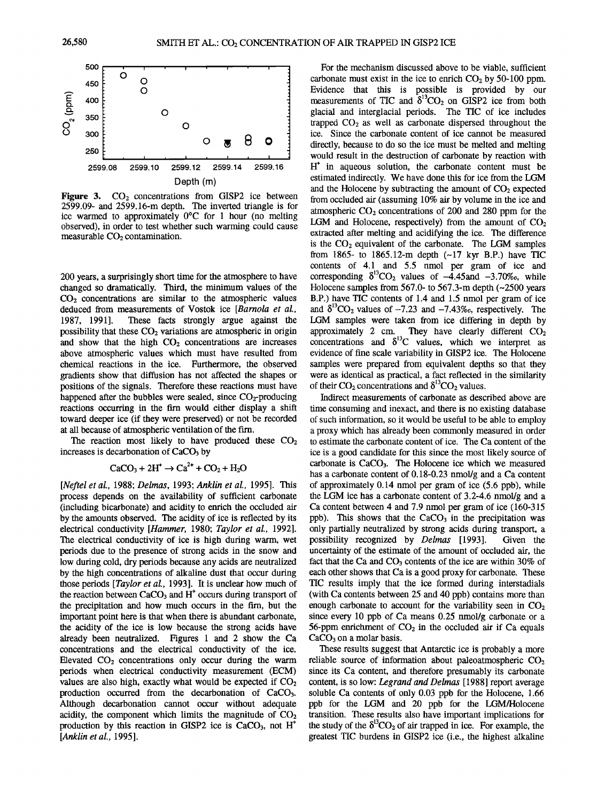

Figure 3. CO<sub>2</sub> concentrations from GISP2 ice between **2599.09- and 2599.16-m depth. The inverted triangle is for**  ice warmed to approximately 0°C for 1 hour (no melting **observed), in order to test whether such warming could cause**  measurable CO<sub>2</sub> contamination.

**200 years, a surprisingly short time for the atmosphere to have changed so dramatically. Third, the minimum values of the CO2 concentrations are similar to the atmospheric values deduced from measurements of Vostok ice [Barnola et aL, 1987, 1991]. These facts strongly argue against the possibility that these CO<sub>2</sub> variations are atmospheric in origin** and show that the high  $CO<sub>2</sub>$  concentrations are increases **above atmospheric values which must have resulted from chemical reactions in the ice. Furthermore, the observed gradients show that diffusion has not affected the shapes or positions of the signals. Therefore these reactions must have**  happened after the bubbles were sealed, since CO<sub>2</sub>-producing reactions occurring in the firn would either display a shift **toward deeper ice (if they were preserved) or not be recorded at all because of atmospheric ventilation of the tim.** 

The reaction most likely to have produced these  $CO<sub>2</sub>$ increases is decarbonation of CaCO<sub>3</sub> by

$$
CaCO3 + 2H+ \rightarrow Ca2+ + CO2 + H2O
$$

**[Neftel et aL, 1988; Delmas, 1993; Anklin et al., 1995]. This process depends on the availability of sufficient carbonate (including bicarbonate) and acidity to enrich the occluded air by the amounts observed. The acidity of ice is reflected by its electrical conductivity [Hammer, 1980; Taylor et al., 1992]. The electrical conductivity of ice is high during warm, wet periods due to the presence of strong acids in the snow and low during cold, dry periods because any acids are neutralized by the high concentrations of alkaline dust that occur during those periods [Taylor et al., 1993]. It is unclear how much of**  the reaction between CaCO<sub>3</sub> and H<sup>+</sup> occurs during transport of the precipitation and how much occurs in the firn, but the **important point here is that when there is abundant carbonate, the acidity of the ice is low because the strong acids have already been neutralized. Figures 1 and 2 show the Ca concentrations and the electrical conductivity of the ice.**  Elevated CO<sub>2</sub> concentrations only occur during the warm **periods when electrical conductivity measurement (ECM)**  values are also high, exactly what would be expected if  $CO<sub>2</sub>$ **production occurred from the decarbonation of CaCO3. Although decarbonation cannot occur without adequate**  acidity, the component which limits the magnitude of  $CO<sub>2</sub>$ production by this reaction in GISP2 ice is CaCO<sub>3</sub>, not H<sup>+</sup> **[Anklin et al., 1995].** 

**For the mechanism discussed above to be viable, sufficient**  carbonate must exist in the ice to enrich  $CO<sub>2</sub>$  by 50-100 ppm. **Evidence that this is possible is provided by our**  measurements of TIC and  $\delta^{\text{B}}CO_2$  on GISP2 ice from both **glacial and interglacial periods. The TIC of ice includes**  trapped  $CO<sub>2</sub>$  as well as carbonate dispersed throughout the **ice. Since the carbonate content of ice cannot be measured directly, because to do so the ice must be melted and melting would result in the destruction of carbonate by reaction with H + in aqueous solution, the carbonate content must be estimated indirectly. We have done this for ice from the LGM**  and the Holocene by subtracting the amount of CO<sub>2</sub> expected **from occluded air (assuming 10% air by volume in the ice and atmospheric CO2 concentrations of 200 and 280 ppm for the**  LGM and Holocene, respectively) from the amount of  $CO<sub>2</sub>$ extracted after melting and acidifying the ice. The difference is the CO<sub>2</sub> equivalent of the carbonate. The LGM samples **from 1865- to 1865.12-m depth (•-17 kyr B.P.) have TIC contents of 4.1 and 5.5 nmol per gram of ice and**  corresponding  $\delta^{13}CO_2$  values of  $-4.45$ and  $-3.70\%$ <sub>o</sub>, while **Holocene samples from 567.0- to 567.3-m depth (•-2500 years B.P.) have TIC contents of 1.4 and 1.5 nmol per gram of ice**  and  $\delta^{13}CO_2$  values of  $-7.23$  and  $-7.43\%$ , respectively. The **LGM samples were taken from ice differing in depth by**  approximately 2 cm. They have clearly different  $CO<sub>2</sub>$ concentrations and  $\delta^{13}$ C values, which we interpret as **evidence of fine scale variability in GISP2 ice. The Holocene samples were prepared from equivalent depths so that they were as identical as practical, a fact reflected in the similarity**  of their  $CO_2$  concentrations and  $\delta^{13}CO_2$  values.

**Indirect measurements of carbonate as described above are time consuming and inexact, and there is no existing database of such information, so it would be useful to be able to employ a proxy which has already been commonly measured in order to estimate the carbonate content of ice. The Ca content of the ice is a good candidate for this since the most likely source of carbonate is CaCO3. The Holocene ice which we measured has a carbonate content of 0.18-0.23 nmol/g and a Ca content of approximately 0.14 nmol per gram of ice (5.6 ppb), while the LGM ice has a carbonate content of 3.2-4.6 nmol/g and a Ca content between 4 and 7.9 nmol per gram of ice (160-315**  ppb). This shows that the CaCO<sub>3</sub> in the precipitation was **only partially neutralized by strong acids during transport, a**  possibility recognized by *Delmas* [1993]. **uncertainty of the estimate of the amount of occluded air, the**  fact that the Ca and CO<sub>3</sub> contents of the ice are within 30% of **each other shows that Ca is a good proxy for carbonate. These TIC results imply that the ice formed during intersradials (with Ca contents between 25 and 40 ppb) contains more than**  enough carbonate to account for the variability seen in  $CO<sub>2</sub>$ **since every 10 ppb of Ca means 0.25 nmol/g carbonate or a**  56-ppm enrichment of CO<sub>2</sub> in the occluded air if Ca equals CaCO<sub>3</sub> on a molar basis.

**These results suggest that Antarctic ice is probably a more**  reliable source of information about paleoatmospheric  $CO<sub>2</sub>$ **since its Ca content, and therefore presumably its carbonate content, is so low: Legrand and Delmas [1988] report average soluble Ca contents of only 0.03 ppb for the Holocene, 1.66 ppb for the LGM and 20 ppb for the LGM/Holocene transition. These results also have important implications for**  the study of the  $\delta^{13}CO_2$  of air trapped in ice. For example, the **greatest TIC burdens in GISP2 ice (i.e., the highest alkaline**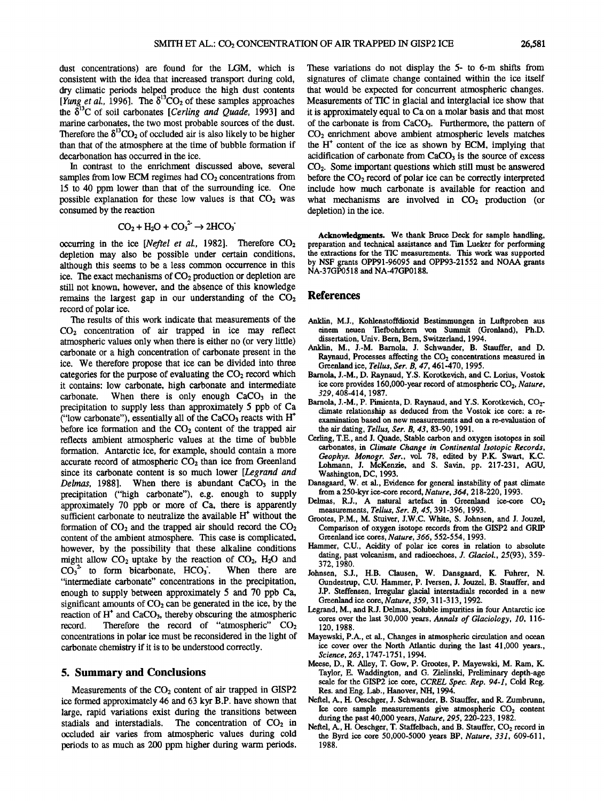**dust concentrations) are found for the LGM, which is consistent with the idea that increased transport during cold, dry climatic periods helped produce the high dust contents**  [*Yung et al.*, 1996]. The  $\delta^{13}CO_2$  of these samples approaches 1 the  $\delta^{13}$ C of soil carbonates [Cerling and Quade, 1993] and **marine carbonates, the two most probable sources of the dust. Therefore the**  $\delta^{13}CO_2$  **of occluded air is also likely to be higher than that of the atmosphere at the time of bubble formation if decarbonation has occurred in the ice.** 

**In contrast to the enrichment discussed above, several**  samples from low ECM regimes had  $CO<sub>2</sub>$  concentrations from **15 to 40 ppm lower than that of the surrounding ice. One**  possible explanation for these low values is that  $CO<sub>2</sub>$  was **consumed by the reaction** 

$$
CO_2 + H_2O + CO_3^2 \rightarrow 2HCO_3
$$

**occurring in the ice [Neftel et al., 1982]. Therefore CO<sub>2</sub> depletion may also be possible under certain conditions, although this seems to be a less common occurrence in this**  ice. The exact mechanisms of CO<sub>2</sub> production or depletion are **still not known, however, and the absence of this knowledge remains the largest gap in our understanding of the CO2 record of polar ice.** 

**The results of this work indicate that measurements of the CO2 concentration of air trapped in ice may reflect atmospheric values only when there is either no (or very little) carbonate or a high concentration of carbonate present in the ice. We therefore propose that ice can be divided into three**  categories for the purpose of evaluating the CO<sub>2</sub> record which **it contains' low carbonate, high carbonate and intermediate**  When there is only enough  $CaCO<sub>3</sub>$  in the **precipitation to supply less than approximately 5 ppb of Ca ("low carbonate"), essentially all of the CaCO3 reacts with H\***  before ice formation and the CO<sub>2</sub> content of the trapped air **reflects ambient atmospheric values at the time of bubble formation. Antarctic ice, for example, should contain a more accurate record of atmospheric CO2 than ice from Greenland**  since its carbonate content is so much lower [*Legrand and Delmas*, 1988]. When there is abundant CaCO<sub>3</sub> in the When there is abundant CaCO<sub>3</sub> in the **precipitation ("high carbonate"), e.g. enough to supply approximately 70 ppb or more of Ca, there is apparently**  sufficient carbonate to neutralize the available  $H<sup>+</sup>$  without the formation of  $CO<sub>2</sub>$  and the trapped air should record the  $CO<sub>2</sub>$ **content of the ambient atmosphere. This case is complicated, however, by the possibility that these alkaline conditions**  might allow  $CO_2$  uptake by the reaction of  $CO_2$ ,  $H_2O$  and  $CO_3^2$  to form bicarbonate,  $HCO_3$ . When there are  $CO<sub>3</sub><sup>2</sup>$  to form bicarbonate, HCO<sub>3</sub>. **"intermediate carbonate" concentrations in the precipitation,**  enough to supply between approximately 5 and 70 ppb Ca, significant amounts of  $CO<sub>2</sub>$  can be generated in the ice, by the **reaction of H<sup>\*</sup> and CaCO<sub>3</sub>, thereby obscuring the atmospheric record. Therefore the record of "atmospheric" CO<sub>2</sub>** Therefore the record of "atmospheric" CO<sub>2</sub> **concentrations in polar ice must be reconsidered in the light of carbonate chemistry if it is to be understood correctly.** 

#### **5. Summary and Conclusions**

Measurements of the CO<sub>2</sub> content of air trapped in GISP2 **ice formed approximately 46 and 63 kyr B.P. have shown that large, rapid variations exist during the transitions between**  stadials and interstadials. The concentration of CO<sub>2</sub> in **occluded air varies from atmospheric values during cold periods to as much as 200 ppm higher during warm periods.** 

**These variations do not display the 5- to 6-m shifts from signatures of climate change contained within the ice itself that would be expected for concurrent atmospheric changes. Measurements of TIC in glacial and interglacial ice show that it is approximately equal to Ca on a molar basis and that most of the carbonate is from CaCO3. Furthermore, the pattern of CO2 enrichment above ambient atmospheric levels matches the H\* content of the ice as shown by ECM, implying that**  acidification of carbonate from CaCO<sub>3</sub> is the source of excess **CO2. Some important questions which still must be answered before the CO2 record of polar ice can be correctly interpreted include how much carbonate is available for reaction and**  what mechanisms are involved in  $CO<sub>2</sub>$  production (or **depletion) in the ice.** 

**Acknowledgments. We thank Bruce Deck for sample handling, preparation and technical assistance and Tim Lueker for performing the extractions for the TIC measurements. This work was supported by NSF grants OPP91-96095 and OPP93-21552 and NOAA grants NA-37GP0518 and NA-47GP0188.** 

#### **References**

- **Anklin, M.J., Kohlenstoffdioxid Bestimmungen in Luftproben aus**  einem neuen Tiefbohrkern von Summit (Gronland), Ph.D. **dissertation, Univ. Bern, Bern, Switzerland, 1994.**
- **Anklin, M., J.-M. Barnola, J. Schwander, B. Stauffer, and D.**  Raynaud, Processes affecting the CO<sub>2</sub> concentrations measured in **Greenland ice, Tellus, Ser. B, 47, 461-470, 1995.**
- **Barnola, J.-M., D. Raynaud, Y.S. Korotkevich, and C. Lorius, Vostok**  ice core provides 160,000-year record of atmospheric CO<sub>2</sub>, Nature, **329,408-414, 1987.**
- Barnola, J.-M., P. Pimienta, D. Raynaud, and Y.S. Korotkevich, CO<sub>2</sub>**climate relationship as deduced from the Vostok ice core: a reexamination based on new measurements and on a re-evaluation of the air dating, Tellus, Ser. B, 43, 83-90, 1991.**
- **Cerling, T.E., and J. Quade, Stable carbon and oxygen isotopes in soil carbonates, in Climate Change in Continental Isotopic Records, Geophys. Monogr. Ser., vol. 78, edited by P.K. Swart, K.C. Lohmann, J. McKenzie, and S. Savin, pp. 217-231, AGU, Washington, DC, 1993.**
- **Dansgaard, W. et al., Evidence for general instability of past climate from a 250-kyr ice-core record, Nature, 364, 218-220, 1993.**
- Delmas, R.J., A natural artefact in Greenland ice-core CO<sub>2</sub> **measurements, Tellus, Ser. B, 45, 391-396, 1993.**
- **Grootes, P.M., M. Stuiver, J.W.C. White, S. Johnsen, and J. Jouzel, Comparison of oxygen isotope records from the GISP2 and GRIP Greenland ice cores, Nature, 366, 552-554, 1993.**
- **Hammer, C.U., Acidity of polar ice cores in relation to absolute dating, past volcanism, and radioechoes, J. Glaciol., 25(93), 359- 372, 1980.**
- **Johnsen, S.J., H.B. Clausen, W. Dansgaard, K. Fuhrer, N. Gundestrup, C.U. Hammer, P. Iversen, J. Jouzel, B. Stauffer, and J.P. Steffensen, Irregular glacial interstadials recorded in a new Greenland ice core, Nature, 359, 311-313, 1992.**
- **Legrand, M., and R.J. Delmas, Soluble impurities in four Antarctic ice cores over the last 30,000 years, Annals of Glaciology, 10, 116- 120, 1988.**
- **Mayewski, P.A., et al., Changes in atmospheric circulation and ocean**  ice cover over the North Atlantic during the last 41,000 years., **Science, 263, 1747-1751, 1994.**
- **Meese, D., R. Alley, T. Gow, P. Grootes, P. Mayewski, M. Ram, K. Taylor, E. Waddington, and G. Zielinski, Preliminary depth-age scale for the GISP2 ice core, CCREL Spec. Rep. 94-1, Cold Reg. Res. and Eng. Lab., Hanover, NH, 1994.**
- **Neftel, A., H. Oeschger, J. Schwander, B. Stauffer, and R. Zumbrunn,**  Ice core sample measurements give atmospheric CO<sub>2</sub> content **during the past 40,000 years, Nature, 295, 220-223, 1982.**
- Neftel, A., H. Oeschger, T. Staffelbach, and B. Stauffer, CO<sub>2</sub> record in **the Byrd ice core 50,000-5000 years BP, Nature, 331, 609-611, 1988.**